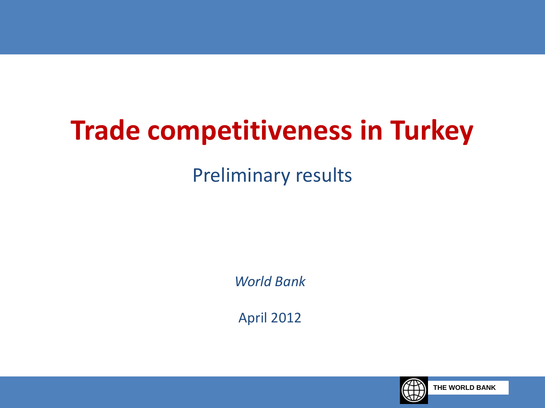# **Trade competitiveness in Turkey**

#### Preliminary results

*World Bank*

April 2012

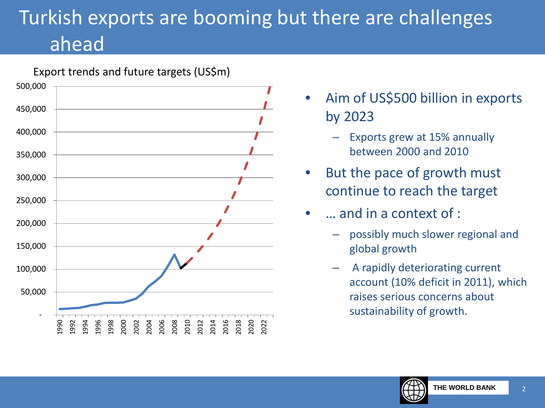### Turkish exports are booming but there are challenges ahead



- Aim of US\$500 billion in exports by 2023
	- Exports grew at 15% annually between 2000 and 2010
- But the pace of growth must continue to reach the target
- … and in a context of :
	- possibly much slower regional and global growth
	- A rapidly deteriorating current account (10% deficit in 2011), which raises serious concerns about sustainability of growth.

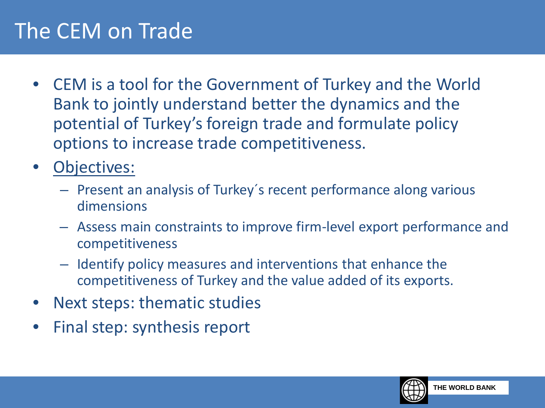#### The CEM on Trade

- CEM is a tool for the Government of Turkey and the World Bank to jointly understand better the dynamics and the potential of Turkey's foreign trade and formulate policy options to increase trade competitiveness.
- Objectives:
	- Present an analysis of Turkey´s recent performance along various dimensions
	- Assess main constraints to improve firm-level export performance and competitiveness
	- Identify policy measures and interventions that enhance the competitiveness of Turkey and the value added of its exports.
- Next steps: thematic studies
- Final step: synthesis report

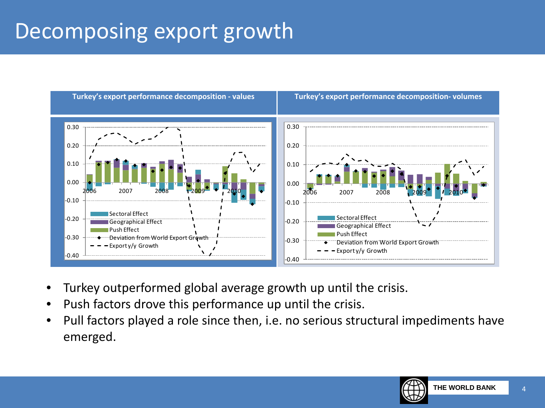#### Decomposing export growth



- Turkey outperformed global average growth up until the crisis.
- Push factors drove this performance up until the crisis.
- Pull factors played a role since then, i.e. no serious structural impediments have emerged.

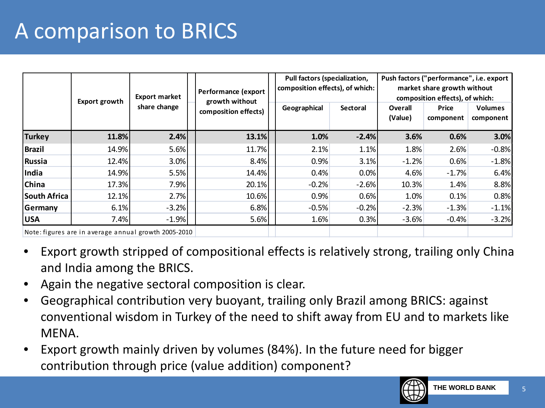### A comparison to BRICS

|                                                      | Export growth | Export market<br>share change | Performance (export<br>growth without<br>composition effects) |  | Pull factors (specialization,<br>composition effects), of which:<br>Geographical<br>Sectoral |         | Overall<br>(Value) | Push factors ("performance", i.e. export<br>market share growth without<br>composition effects), of which:<br><b>Price</b><br>component | <b>Volumes</b><br>component |
|------------------------------------------------------|---------------|-------------------------------|---------------------------------------------------------------|--|----------------------------------------------------------------------------------------------|---------|--------------------|-----------------------------------------------------------------------------------------------------------------------------------------|-----------------------------|
| <b>Turkey</b>                                        | 11.8%         | 2.4%                          | 13.1%                                                         |  | 1.0%                                                                                         | $-2.4%$ | 3.6%               | 0.6%                                                                                                                                    | 3.0%                        |
| <b>Brazil</b>                                        | 14.9%         | 5.6%                          | 11.7%                                                         |  | 2.1%                                                                                         | 1.1%    | 1.8%               | 2.6%                                                                                                                                    | $-0.8%$                     |
| <b>Russia</b>                                        | 12.4%         | 3.0%                          | 8.4%                                                          |  | 0.9%                                                                                         | 3.1%    | $-1.2%$            | 0.6%                                                                                                                                    | $-1.8%$                     |
| India                                                | 14.9%         | 5.5%                          | 14.4%                                                         |  | 0.4%                                                                                         | 0.0%    | 4.6%               | $-1.7%$                                                                                                                                 | 6.4%                        |
| China                                                | 17.3%         | 7.9%                          | 20.1%                                                         |  | $-0.2%$                                                                                      | $-2.6%$ | 10.3%              | 1.4%                                                                                                                                    | 8.8%                        |
| <b>South Africa</b>                                  | 12.1%         | 2.7%                          | 10.6%                                                         |  | 0.9%                                                                                         | 0.6%    | 1.0%               | 0.1%                                                                                                                                    | 0.8%                        |
| Germany                                              | 6.1%          | $-3.2%$                       | 6.8%                                                          |  | $-0.5%$                                                                                      | $-0.2%$ | $-2.3%$            | $-1.3%$                                                                                                                                 | $-1.1%$                     |
| <b>USA</b>                                           | 7.4%          | $-1.9%$                       | 5.6%                                                          |  | 1.6%                                                                                         | 0.3%    | $-3.6%$            | $-0.4%$                                                                                                                                 | $-3.2%$                     |
| Note: figures are in average annual growth 2005-2010 |               |                               |                                                               |  |                                                                                              |         |                    |                                                                                                                                         |                             |

- Export growth stripped of compositional effects is relatively strong, trailing only China and India among the BRICS.
- Again the negative sectoral composition is clear.
- Geographical contribution very buoyant, trailing only Brazil among BRICS: against conventional wisdom in Turkey of the need to shift away from EU and to markets like MENA.
- Export growth mainly driven by volumes (84%). In the future need for bigger contribution through price (value addition) component?

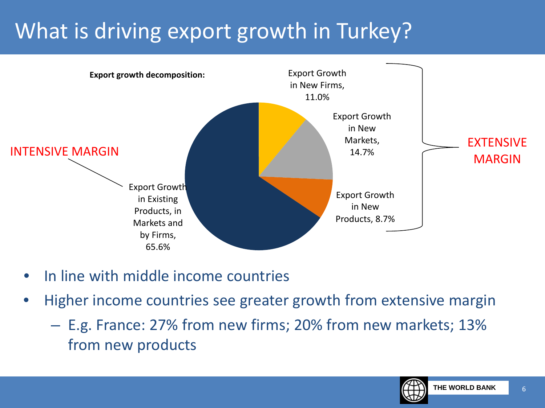### What is driving export growth in Turkey?



- In line with middle income countries
- Higher income countries see greater growth from extensive margin
	- E.g. France: 27% from new firms; 20% from new markets; 13% from new products

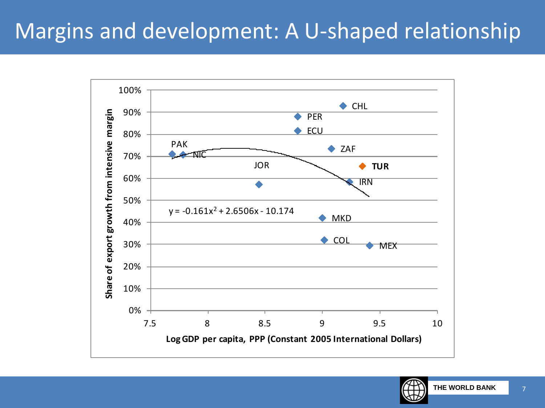### Margins and development: A U-shaped relationship



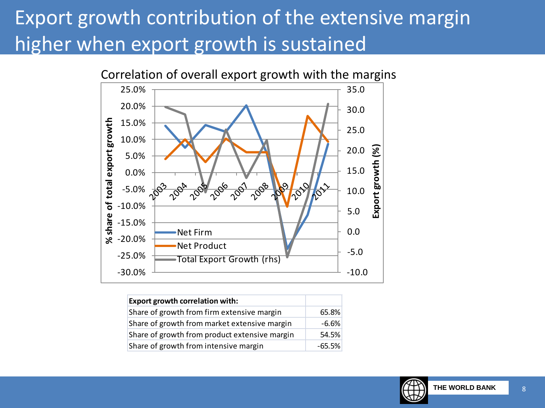#### Export growth contribution of the extensive margin higher when export growth is sustained



| <b>Export growth correlation with:</b>        |          |
|-----------------------------------------------|----------|
| Share of growth from firm extensive margin    | 65.8%    |
| Share of growth from market extensive margin  | $-6.6%$  |
| Share of growth from product extensive margin | 54.5%    |
| Share of growth from intensive margin         | $-65.5%$ |

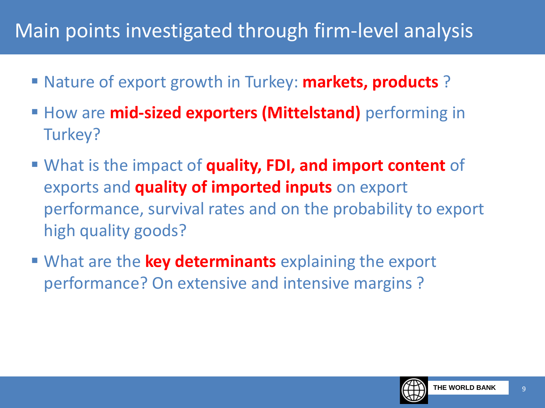#### Main points investigated through firm-level analysis

- Nature of export growth in Turkey: **markets, products** ?
- **How are mid-sized exporters (Mittelstand)** performing in Turkey?
- What is the impact of **quality, FDI, and import content** of exports and **quality of imported inputs** on export performance, survival rates and on the probability to export high quality goods?
- What are the **key determinants** explaining the export performance? On extensive and intensive margins ?

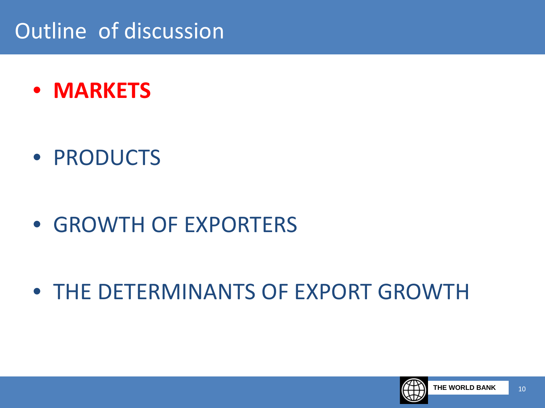### Outline of discussion

• **MARKETS**

• PRODUCTS

- GROWTH OF EXPORTERS
- THE DETERMINANTS OF EXPORT GROWTH

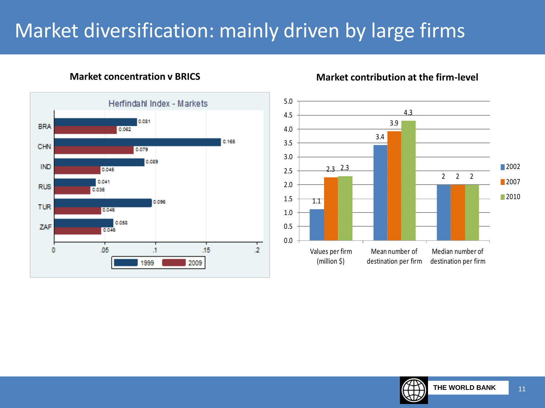#### Market diversification: mainly driven by large firms



#### **Market concentration v BRICS Market contribution at the firm-level**



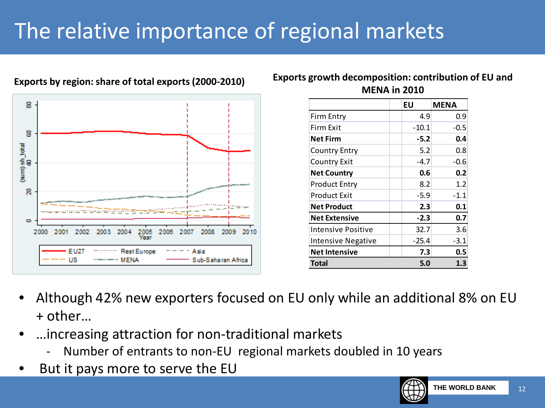## The relative importance of regional markets



**Exports by region: share of total exports (2000-2010)**

**Exports growth decomposition: contribution of EU and MENA in 2010**

|                           | ΕU      | <b>MENA</b> |
|---------------------------|---------|-------------|
| Firm Entry                | 4.9     | 0.9         |
| Firm Exit                 | $-10.1$ | $-0.5$      |
| <b>Net Firm</b>           | -5.2    | 0.4         |
| Country Entry             | 5.2     | 0.8         |
| <b>Country Exit</b>       | $-4.7$  | -0.6        |
| <b>Net Country</b>        | 0.6     | 0.2         |
| Product Entry             | 8.2     | 1.2         |
| Product Exit              | $-5.9$  | $-1.1$      |
| <b>Net Product</b>        | 2.3     | 0.1         |
| <b>Net Extensive</b>      | $-2.3$  | 0.7         |
| Intensive Positive        | 32.7    | 3.6         |
| <b>Intensive Negative</b> | $-25.4$ | $-3.1$      |
| <b>Net Intensive</b>      | 7.3     | 0.5         |
| Total                     | 5.0     | 1.3         |

- Although 42% new exporters focused on EU only while an additional 8% on EU + other…
- …increasing attraction for non-traditional markets
	- Number of entrants to non-EU regional markets doubled in 10 years
- But it pays more to serve the EU

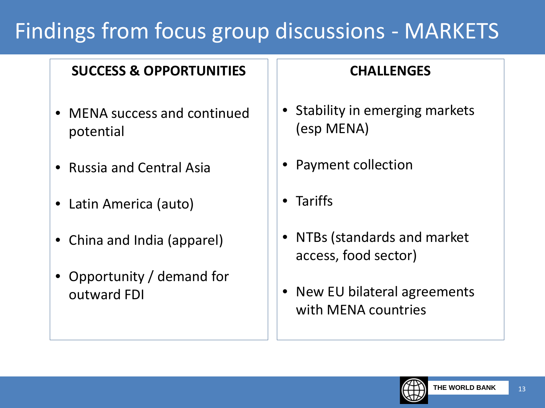### Findings from focus group discussions - MARKETS

#### **SUCCESS & OPPORTUNITIES**

- MENA success and continued potential
- Russia and Central Asia
- Latin America (auto)
- China and India (apparel)
- Opportunity / demand for outward FDI

#### **CHALLENGES**

- Stability in emerging markets (esp MENA)
- Payment collection
- Tariffs
- NTBs (standards and market access, food sector)
- New EU bilateral agreements with MENA countries

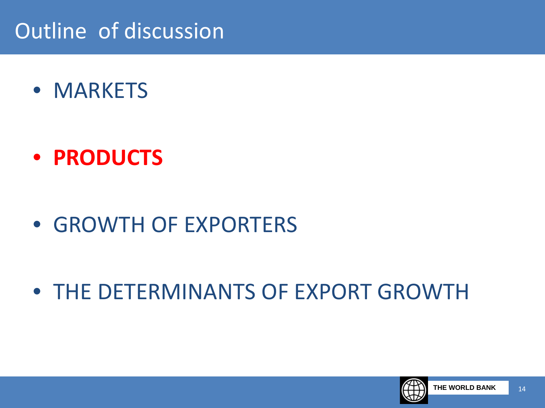#### Outline of discussion

• MARKETS

- **PRODUCTS**
- GROWTH OF EXPORTERS
- THE DETERMINANTS OF EXPORT GROWTH

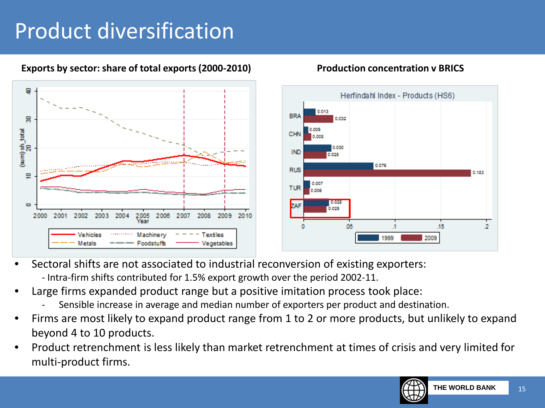### Product diversification



#### **Exports by sector: share of total exports (2000-2010) Production concentration v BRICS**

- Sectoral shifts are not associated to industrial reconversion of existing exporters:
	- Intra-firm shifts contributed for 1.5% export growth over the period 2002-11.
- Large firms expanded product range but a positive imitation process took place:
	- Sensible increase in average and median number of exporters per product and destination.
- Firms are most likely to expand product range from 1 to 2 or more products, but unlikely to expand beyond 4 to 10 products.
- Product retrenchment is less likely than market retrenchment at times of crisis and very limited for multi-product firms.

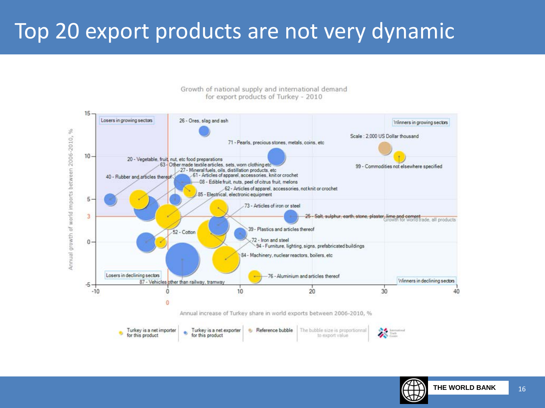#### Top 20 export products are not very dynamic



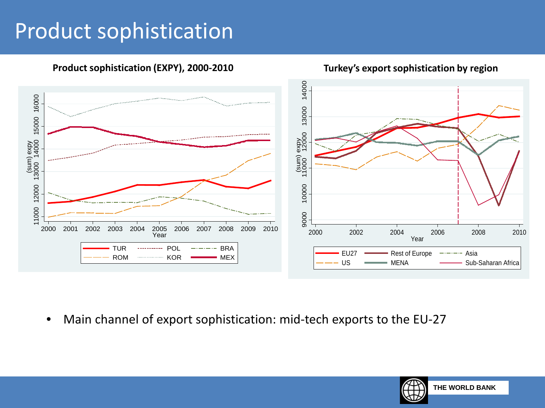#### Product sophistication



**Product sophistication (EXPY), 2000-2010**

**Turkey's export sophistication by region**

• Main channel of export sophistication: mid-tech exports to the EU-27

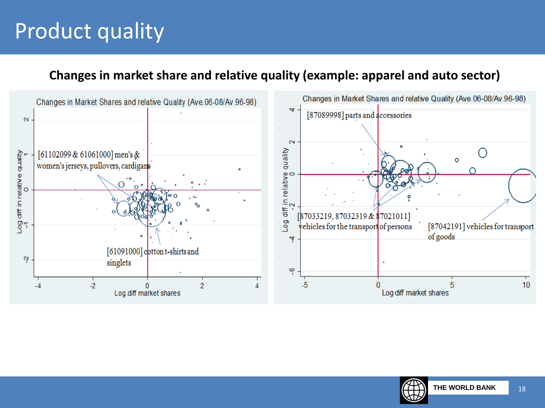### Product quality

#### **Changes in market share and relative quality (example: apparel and auto sector)**



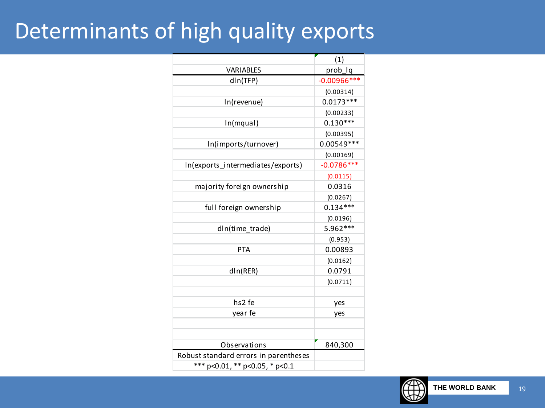#### Determinants of high quality exports

|                                       | (1)            |
|---------------------------------------|----------------|
| <b>VARIABLES</b>                      | prob_lq        |
| dln(TFP)                              | $-0.00966$ *** |
|                                       | (0.00314)      |
| In(revenue)                           | $0.0173***$    |
|                                       | (0.00233)      |
| In(mqual)                             | $0.130***$     |
|                                       | (0.00395)      |
| In(imports/turnover)                  | $0.00549***$   |
|                                       | (0.00169)      |
| In(exports_intermediates/exports)     | $-0.0786***$   |
|                                       | (0.0115)       |
| majority foreign ownership            | 0.0316         |
|                                       | (0.0267)       |
| full foreign ownership                | $0.134***$     |
|                                       | (0.0196)       |
| dIn(time_trade)                       | 5.962***       |
|                                       | (0.953)        |
| <b>PTA</b>                            | 0.00893        |
|                                       | (0.0162)       |
| dln(RER)                              | 0.0791         |
|                                       | (0.0711)       |
|                                       |                |
| hs <sub>2</sub> fe                    | yes            |
| year fe                               | yes            |
|                                       |                |
|                                       |                |
| Observations                          | 840,300        |
| Robust standard errors in parentheses |                |
| *** p<0.01, ** p<0.05, * p<0.1        |                |

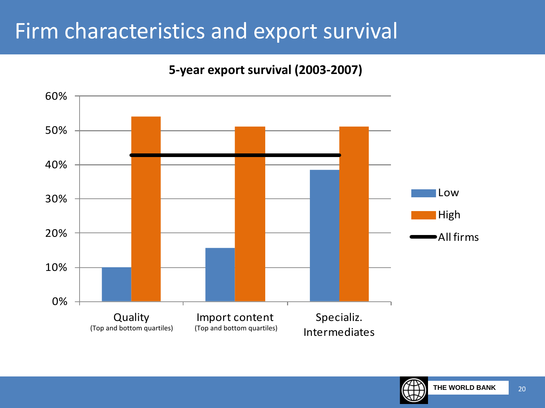#### Firm characteristics and export survival

#### **5-year export survival (2003-2007)**



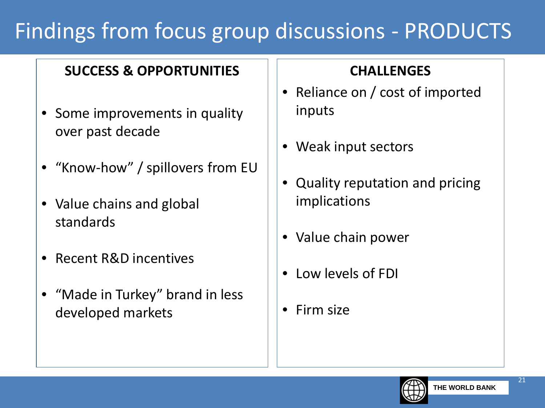### Findings from focus group discussions - PRODUCTS

#### **SUCCESS & OPPORTUNITIES**

- Some improvements in quality over past decade
- "Know-how" / spillovers from EU
- Value chains and global standards
- Recent R&D incentives
- "Made in Turkey" brand in less developed markets

#### **CHALLENGES**

- Reliance on / cost of imported inputs
- Weak input sectors
- Quality reputation and pricing implications
- Value chain power
- Low levels of FDI
- Firm size

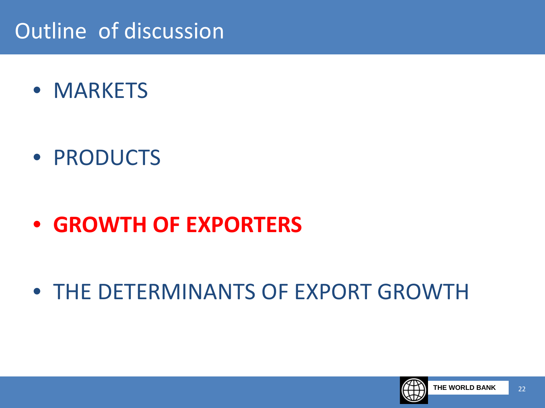### Outline of discussion

• MARKETS

• PRODUCTS

• **GROWTH OF EXPORTERS**

• THE DETERMINANTS OF EXPORT GROWTH

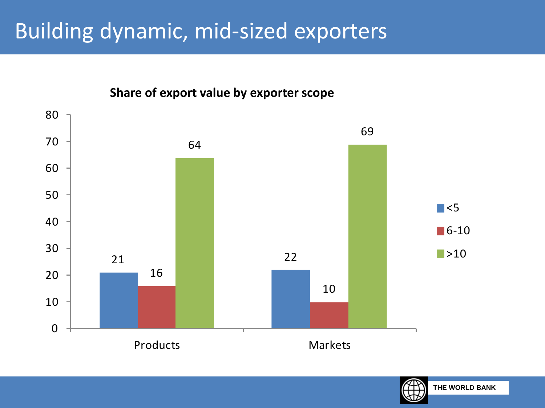#### Building dynamic, mid-sized exporters



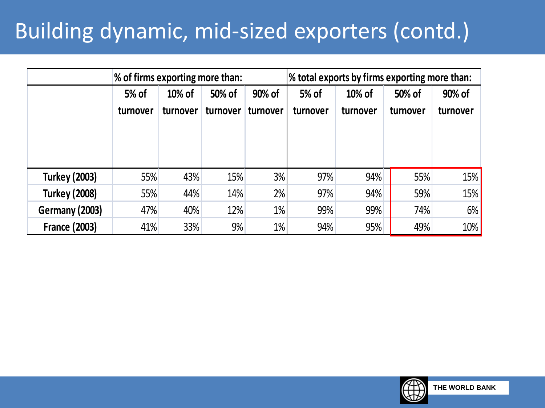### Building dynamic, mid-sized exporters (contd.)

|                       | % of firms exporting more than: |                    |                    |                    | % total exports by firms exporting more than: |                    |                    |                    |  |
|-----------------------|---------------------------------|--------------------|--------------------|--------------------|-----------------------------------------------|--------------------|--------------------|--------------------|--|
|                       | 5% of<br>turnover               | 10% of<br>turnover | 50% of<br>turnover | 90% of<br>turnover | 5% of<br>turnover                             | 10% of<br>turnover | 50% of<br>turnover | 90% of<br>turnover |  |
| <b>Turkey (2003)</b>  | 55%                             | 43%                | 15%                | 3%                 | 97%                                           | 94%                | 55%                | 15%                |  |
| <b>Turkey (2008)</b>  | 55%                             | 44%                | 14%                | 2%                 | 97%                                           | 94%                | 59%                | 15%                |  |
| <b>Germany (2003)</b> | 47%                             | 40%                | 12%                | 1%                 | 99%                                           | 99%                | 74%                | 6%                 |  |
| <b>France (2003)</b>  | 41%                             | 33%                | 9%                 | 1%                 | 94%                                           | 95%                | 49%                | 10%                |  |

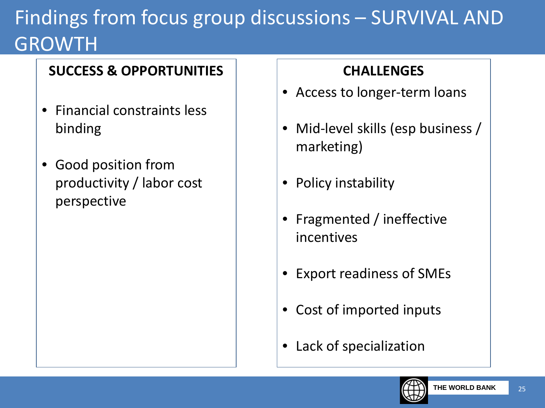## Findings from focus group discussions – SURVIVAL AND GROWTH

#### **SUCCESS & OPPORTUNITIES**

- Financial constraints less binding
- Good position from productivity / labor cost perspective

#### **CHALLENGES**

- Access to longer-term loans
- Mid-level skills (esp business / marketing)
- Policy instability
- Fragmented / ineffective incentives
- Export readiness of SMEs
- Cost of imported inputs
- Lack of specialization

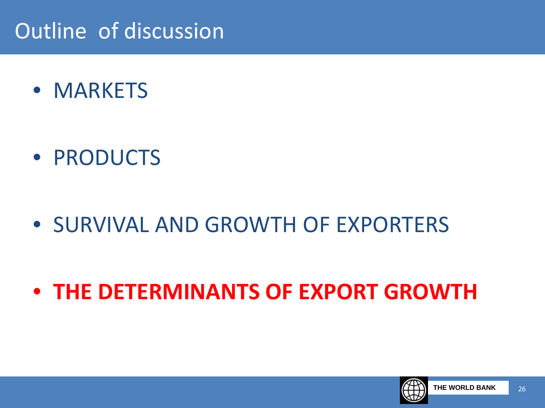### Outline of discussion

• MARKETS

• PRODUCTS

- SURVIVAL AND GROWTH OF EXPORTERS
- **THE DETERMINANTS OF EXPORT GROWTH**

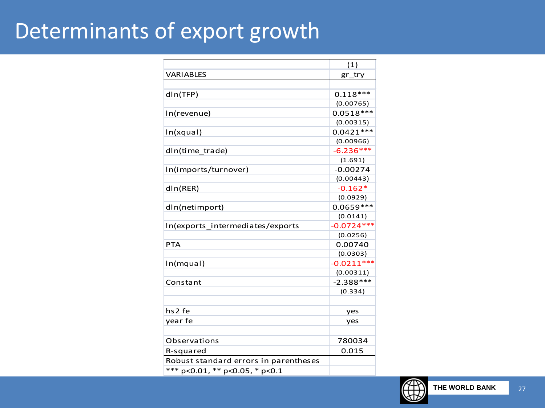#### Determinants of export growth

|                                        | (1)          |  |  |
|----------------------------------------|--------------|--|--|
| <b>VARIABLES</b>                       | gr_try       |  |  |
|                                        |              |  |  |
| dln(TFP)                               | $0.118***$   |  |  |
|                                        | (0.00765)    |  |  |
| In(revenue)                            | $0.0518***$  |  |  |
|                                        | (0.00315)    |  |  |
| In(xqual)                              | $0.0421***$  |  |  |
|                                        | (0.00966)    |  |  |
| dIn(time trade)                        | $-6.236***$  |  |  |
|                                        | (1.691)      |  |  |
| In(imports/turnover)                   | $-0.00274$   |  |  |
|                                        | (0.00443)    |  |  |
| dln(RER)                               | $-0.162*$    |  |  |
|                                        | (0.0929)     |  |  |
| dIn(netimport)                         | $0.0659***$  |  |  |
|                                        | (0.0141)     |  |  |
| In(exports_intermediates/exports       | $-0.0724***$ |  |  |
|                                        | (0.0256)     |  |  |
| <b>PTA</b>                             | 0.00740      |  |  |
|                                        | (0.0303)     |  |  |
| In(mqual)                              | $-0.0211***$ |  |  |
|                                        | (0.00311)    |  |  |
| Constant                               | $-2.388***$  |  |  |
|                                        | (0.334)      |  |  |
|                                        |              |  |  |
| hs <sub>2</sub> fe                     | yes          |  |  |
| year fe                                | yes          |  |  |
|                                        |              |  |  |
| Observations                           | 780034       |  |  |
| R-squared                              | 0.015        |  |  |
| Robust standard errors in parentheses  |              |  |  |
| *** $p<0.01$ , ** $p<0.05$ , * $p<0.1$ |              |  |  |

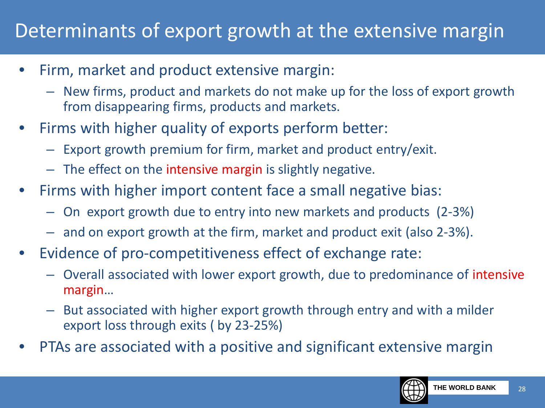#### Determinants of export growth at the extensive margin

- Firm, market and product extensive margin:
	- New firms, product and markets do not make up for the loss of export growth from disappearing firms, products and markets.
- Firms with higher quality of exports perform better:
	- Export growth premium for firm, market and product entry/exit.
	- The effect on the intensive margin is slightly negative.
- Firms with higher import content face a small negative bias:
	- On export growth due to entry into new markets and products (2-3%)
	- and on export growth at the firm, market and product exit (also 2-3%).
- Evidence of pro-competitiveness effect of exchange rate:
	- Overall associated with lower export growth, due to predominance of intensive margin…
	- But associated with higher export growth through entry and with a milder export loss through exits ( by 23-25%)
- PTAs are associated with a positive and significant extensive margin

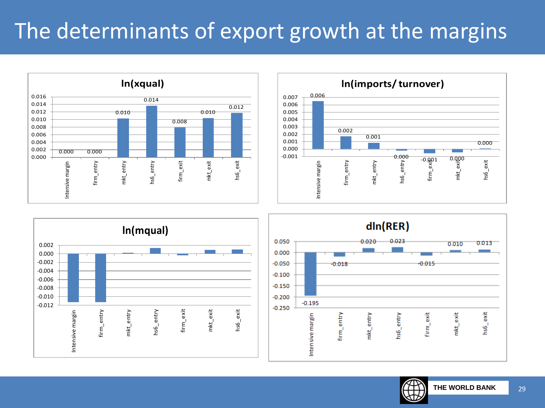### The determinants of export growth at the margins





 $dln(RER)$ 0.050  $0.020$ 0.02  $0.010$ 0.013 0.000  $-0.050$  $0.015$  $0.018$  $-0.100$  $-0.150$  $-0.200$  $-0.195$  $-0.250$  $hs6$  \_ exit firm\_exit mkt\_exit firm\_entry Intensive margin hs6\_entry mkt\_entry



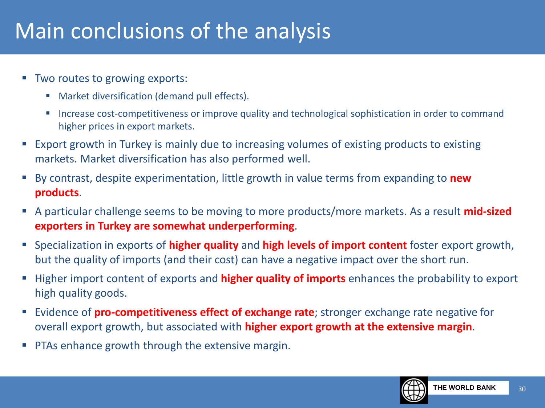#### Main conclusions of the analysis

- Two routes to growing exports:
	- **Market diversification (demand pull effects).**
	- **Increase cost-competitiveness or improve quality and technological sophistication in order to command** higher prices in export markets.
- Export growth in Turkey is mainly due to increasing volumes of existing products to existing markets. Market diversification has also performed well.
- By contrast, despite experimentation, little growth in value terms from expanding to **new products**.
- A particular challenge seems to be moving to more products/more markets. As a result **mid-sized exporters in Turkey are somewhat underperforming**.
- Specialization in exports of **higher quality** and **high levels of import content** foster export growth, but the quality of imports (and their cost) can have a negative impact over the short run.
- **Higher import content of exports and higher quality of imports** enhances the probability to export high quality goods.
- Evidence of **pro-competitiveness effect of exchange rate**; stronger exchange rate negative for overall export growth, but associated with **higher export growth at the extensive margin**.
- PTAs enhance growth through the extensive margin.